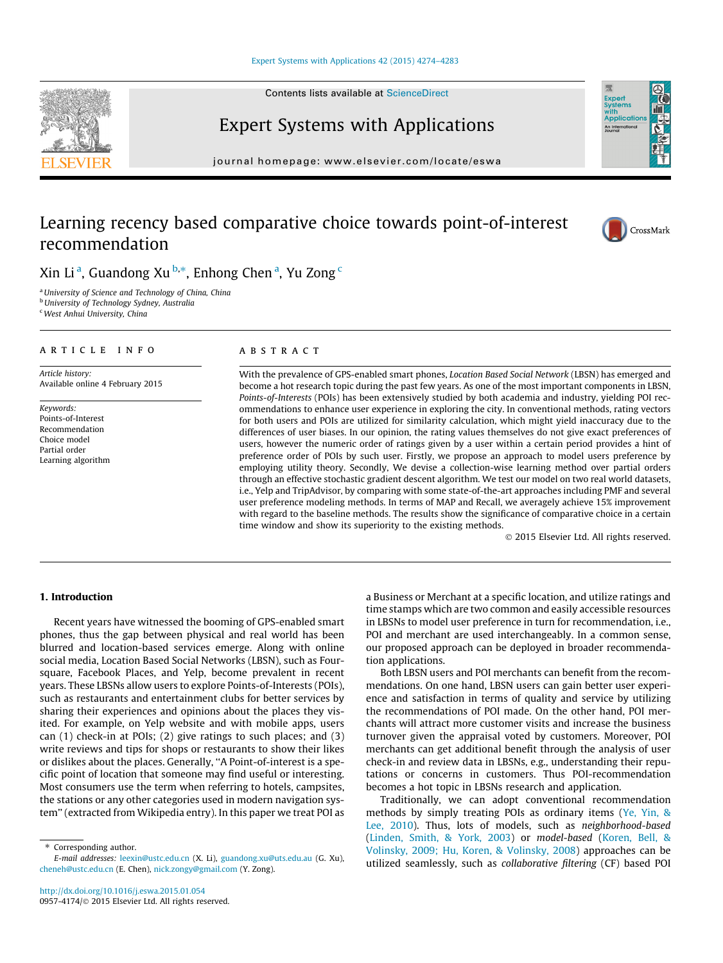#### [Expert Systems with Applications 42 \(2015\) 4274–4283](http://dx.doi.org/10.1016/j.eswa.2015.01.054)

Contents lists available at [ScienceDirect](http://www.sciencedirect.com/science/journal/09574174)

# Expert Systems with Applications

journal homepage: [www.elsevier.com/locate/eswa](http://www.elsevier.com/locate/eswa)

# Learning recency based comparative choice towards point-of-interest recommendation

Xin Li<sup>a</sup>, Guandong Xu<sup>b,\*</sup>, Enhong Chen<sup>a</sup>, Yu Zong <sup>c</sup>

<sup>a</sup>University of Science and Technology of China, China

**b** University of Technology Sydney, Australia

<sup>c</sup> West Anhui University, China

# article info

Article history: Available online 4 February 2015

Keywords: Points-of-Interest Recommendation Choice model Partial order Learning algorithm

# ABSTRACT

With the prevalence of GPS-enabled smart phones, Location Based Social Network (LBSN) has emerged and become a hot research topic during the past few years. As one of the most important components in LBSN, Points-of-Interests (POIs) has been extensively studied by both academia and industry, yielding POI recommendations to enhance user experience in exploring the city. In conventional methods, rating vectors for both users and POIs are utilized for similarity calculation, which might yield inaccuracy due to the differences of user biases. In our opinion, the rating values themselves do not give exact preferences of users, however the numeric order of ratings given by a user within a certain period provides a hint of preference order of POIs by such user. Firstly, we propose an approach to model users preference by employing utility theory. Secondly, We devise a collection-wise learning method over partial orders through an effective stochastic gradient descent algorithm. We test our model on two real world datasets, i.e., Yelp and TripAdvisor, by comparing with some state-of-the-art approaches including PMF and several user preference modeling methods. In terms of MAP and Recall, we averagely achieve 15% improvement with regard to the baseline methods. The results show the significance of comparative choice in a certain time window and show its superiority to the existing methods.

- 2015 Elsevier Ltd. All rights reserved.

## 1. Introduction

Recent years have witnessed the booming of GPS-enabled smart phones, thus the gap between physical and real world has been blurred and location-based services emerge. Along with online social media, Location Based Social Networks (LBSN), such as Foursquare, Facebook Places, and Yelp, become prevalent in recent years. These LBSNs allow users to explore Points-of-Interests (POIs), such as restaurants and entertainment clubs for better services by sharing their experiences and opinions about the places they visited. For example, on Yelp website and with mobile apps, users can (1) check-in at POIs; (2) give ratings to such places; and (3) write reviews and tips for shops or restaurants to show their likes or dislikes about the places. Generally, ''A Point-of-interest is a specific point of location that someone may find useful or interesting. Most consumers use the term when referring to hotels, campsites, the stations or any other categories used in modern navigation system'' (extracted from Wikipedia entry). In this paper we treat POI as

⇑ Corresponding author.

a Business or Merchant at a specific location, and utilize ratings and time stamps which are two common and easily accessible resources in LBSNs to model user preference in turn for recommendation, i.e., POI and merchant are used interchangeably. In a common sense, our proposed approach can be deployed in broader recommendation applications.

Both LBSN users and POI merchants can benefit from the recommendations. On one hand, LBSN users can gain better user experience and satisfaction in terms of quality and service by utilizing the recommendations of POI made. On the other hand, POI merchants will attract more customer visits and increase the business turnover given the appraisal voted by customers. Moreover, POI merchants can get additional benefit through the analysis of user check-in and review data in LBSNs, e.g., understanding their reputations or concerns in customers. Thus POI-recommendation becomes a hot topic in LBSNs research and application.

Traditionally, we can adopt conventional recommendation methods by simply treating POIs as ordinary items [\(Ye, Yin, &](#page-8-0) [Lee, 2010](#page-8-0)). Thus, lots of models, such as neighborhood-based ([Linden, Smith, & York, 2003](#page-8-0)) or model-based [\(Koren, Bell, &](#page-8-0) [Volinsky, 2009; Hu, Koren, & Volinsky, 2008\)](#page-8-0) approaches can be utilized seamlessly, such as collaborative filtering (CF) based POI

<span id="page-0-0"></span>





E-mail addresses: [leexin@ustc.edu.cn](mailto:leexin@ustc.edu.cn) (X. Li), [guandong.xu@uts.edu.au](mailto:guandong.xu@uts.edu.au) (G. Xu), [cheneh@ustc.edu.cn](mailto:cheneh@ustc.edu.cn) (E. Chen), [nick.zongy@gmail.com](mailto:nick.zongy@gmail.com) (Y. Zong).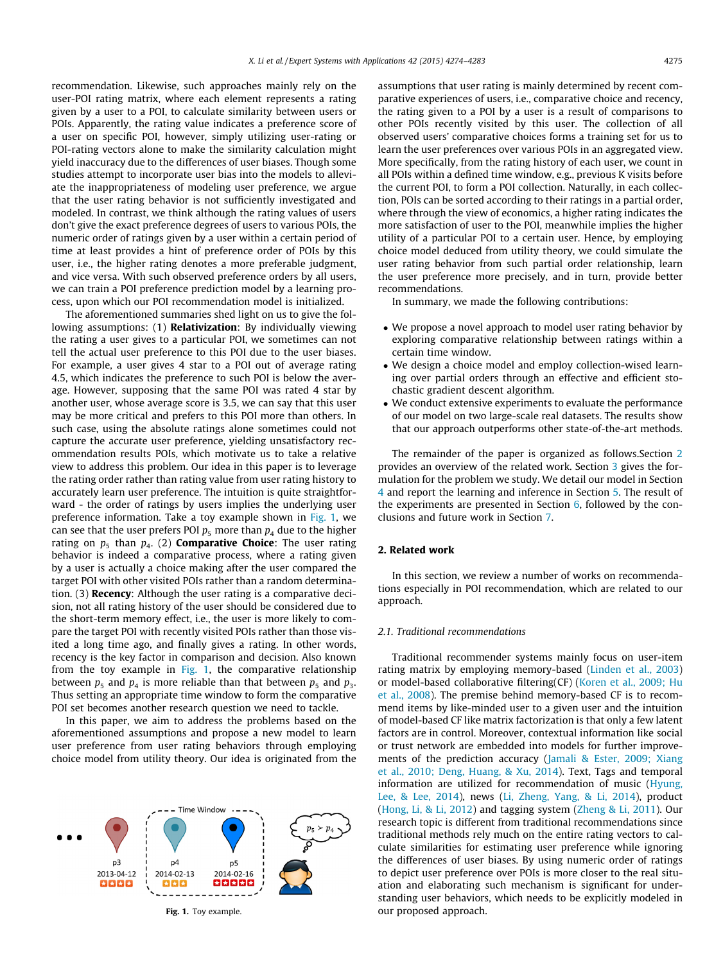recommendation. Likewise, such approaches mainly rely on the user-POI rating matrix, where each element represents a rating given by a user to a POI, to calculate similarity between users or POIs. Apparently, the rating value indicates a preference score of a user on specific POI, however, simply utilizing user-rating or POI-rating vectors alone to make the similarity calculation might yield inaccuracy due to the differences of user biases. Though some studies attempt to incorporate user bias into the models to alleviate the inappropriateness of modeling user preference, we argue that the user rating behavior is not sufficiently investigated and modeled. In contrast, we think although the rating values of users don't give the exact preference degrees of users to various POIs, the numeric order of ratings given by a user within a certain period of time at least provides a hint of preference order of POIs by this user, i.e., the higher rating denotes a more preferable judgment, and vice versa. With such observed preference orders by all users, we can train a POI preference prediction model by a learning process, upon which our POI recommendation model is initialized.

The aforementioned summaries shed light on us to give the following assumptions: (1) **Relativization**: By individually viewing the rating a user gives to a particular POI, we sometimes can not tell the actual user preference to this POI due to the user biases. For example, a user gives 4 star to a POI out of average rating 4.5, which indicates the preference to such POI is below the average. However, supposing that the same POI was rated 4 star by another user, whose average score is 3.5, we can say that this user may be more critical and prefers to this POI more than others. In such case, using the absolute ratings alone sometimes could not capture the accurate user preference, yielding unsatisfactory recommendation results POIs, which motivate us to take a relative view to address this problem. Our idea in this paper is to leverage the rating order rather than rating value from user rating history to accurately learn user preference. The intuition is quite straightforward - the order of ratings by users implies the underlying user preference information. Take a toy example shown in Fig. 1, we can see that the user prefers POI  $p_5$  more than  $p_4$  due to the higher rating on  $p_5$  than  $p_4$ . (2) **Comparative Choice**: The user rating behavior is indeed a comparative process, where a rating given by a user is actually a choice making after the user compared the target POI with other visited POIs rather than a random determination. (3) Recency: Although the user rating is a comparative decision, not all rating history of the user should be considered due to the short-term memory effect, i.e., the user is more likely to compare the target POI with recently visited POIs rather than those visited a long time ago, and finally gives a rating. In other words, recency is the key factor in comparison and decision. Also known from the toy example in Fig. 1, the comparative relationship between  $p_5$  and  $p_4$  is more reliable than that between  $p_5$  and  $p_3$ . Thus setting an appropriate time window to form the comparative POI set becomes another research question we need to tackle.

In this paper, we aim to address the problems based on the aforementioned assumptions and propose a new model to learn user preference from user rating behaviors through employing choice model from utility theory. Our idea is originated from the



assumptions that user rating is mainly determined by recent comparative experiences of users, i.e., comparative choice and recency, the rating given to a POI by a user is a result of comparisons to other POIs recently visited by this user. The collection of all observed users' comparative choices forms a training set for us to learn the user preferences over various POIs in an aggregated view. More specifically, from the rating history of each user, we count in all POIs within a defined time window, e.g., previous K visits before the current POI, to form a POI collection. Naturally, in each collection, POIs can be sorted according to their ratings in a partial order, where through the view of economics, a higher rating indicates the more satisfaction of user to the POI, meanwhile implies the higher utility of a particular POI to a certain user. Hence, by employing choice model deduced from utility theory, we could simulate the user rating behavior from such partial order relationship, learn the user preference more precisely, and in turn, provide better recommendations.

In summary, we made the following contributions:

- We propose a novel approach to model user rating behavior by exploring comparative relationship between ratings within a certain time window.
- We design a choice model and employ collection-wised learning over partial orders through an effective and efficient stochastic gradient descent algorithm.
- We conduct extensive experiments to evaluate the performance of our model on two large-scale real datasets. The results show that our approach outperforms other state-of-the-art methods.

The remainder of the paper is organized as follows.Section 2 provides an overview of the related work. Section [3](#page-2-0) gives the formulation for the problem we study. We detail our model in Section [4](#page-3-0) and report the learning and inference in Section [5.](#page-4-0) The result of the experiments are presented in Section [6,](#page-5-0) followed by the conclusions and future work in Section [7](#page-8-0).

## 2. Related work

In this section, we review a number of works on recommendations especially in POI recommendation, which are related to our approach.

#### 2.1. Traditional recommendations

Traditional recommender systems mainly focus on user-item rating matrix by employing memory-based [\(Linden et al., 2003\)](#page-8-0) or model-based collaborative filtering(CF) [\(Koren et al., 2009; Hu](#page-8-0) [et al., 2008\)](#page-8-0). The premise behind memory-based CF is to recommend items by like-minded user to a given user and the intuition of model-based CF like matrix factorization is that only a few latent factors are in control. Moreover, contextual information like social or trust network are embedded into models for further improvements of the prediction accuracy ([Jamali & Ester, 2009; Xiang](#page-8-0) [et al., 2010; Deng, Huang, & Xu, 2014](#page-8-0)). Text, Tags and temporal information are utilized for recommendation of music ([Hyung,](#page-8-0) [Lee, & Lee, 2014](#page-8-0)), news ([Li, Zheng, Yang, & Li, 2014\)](#page-8-0), product ([Hong, Li, & Li, 2012\)](#page-8-0) and tagging system ([Zheng & Li, 2011\)](#page-9-0). Our research topic is different from traditional recommendations since traditional methods rely much on the entire rating vectors to calculate similarities for estimating user preference while ignoring the differences of user biases. By using numeric order of ratings to depict user preference over POIs is more closer to the real situation and elaborating such mechanism is significant for understanding user behaviors, which needs to be explicitly modeled in Fig. 1. Toy example. The same control our proposed approach.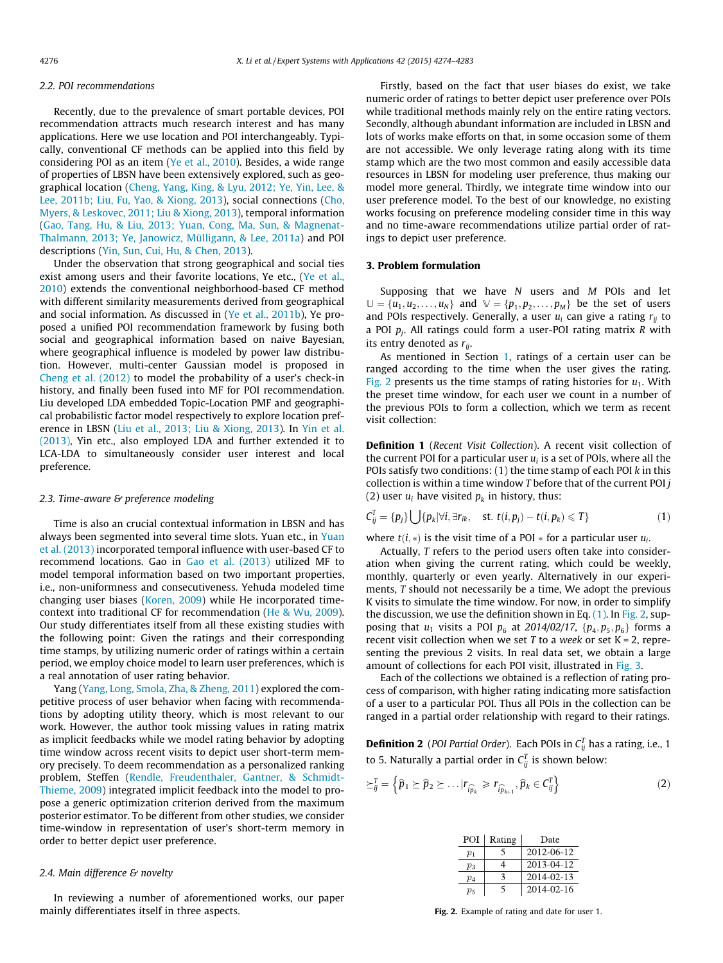#### <span id="page-2-0"></span>2.2. POI recommendations

Recently, due to the prevalence of smart portable devices, POI recommendation attracts much research interest and has many applications. Here we use location and POI interchangeably. Typically, conventional CF methods can be applied into this field by considering POI as an item [\(Ye et al., 2010](#page-8-0)). Besides, a wide range of properties of LBSN have been extensively explored, such as geographical location [\(Cheng, Yang, King, & Lyu, 2012; Ye, Yin, Lee, &](#page-8-0) [Lee, 2011b; Liu, Fu, Yao, & Xiong, 2013\)](#page-8-0), social connections [\(Cho,](#page-8-0) [Myers, & Leskovec, 2011; Liu & Xiong, 2013](#page-8-0)), temporal information ([Gao, Tang, Hu, & Liu, 2013; Yuan, Cong, Ma, Sun, & Magnenat-](#page-8-0)[Thalmann, 2013; Ye, Janowicz, Mülligann, & Lee, 2011a](#page-8-0)) and POI descriptions [\(Yin, Sun, Cui, Hu, & Chen, 2013](#page-9-0)).

Under the observation that strong geographical and social ties exist among users and their favorite locations, Ye etc., [\(Ye et al.,](#page-8-0) [2010\)](#page-8-0) extends the conventional neighborhood-based CF method with different similarity measurements derived from geographical and social information. As discussed in [\(Ye et al., 2011b\)](#page-9-0), Ye proposed a unified POI recommendation framework by fusing both social and geographical information based on naive Bayesian, where geographical influence is modeled by power law distribution. However, multi-center Gaussian model is proposed in [Cheng et al. \(2012\)](#page-8-0) to model the probability of a user's check-in history, and finally been fused into MF for POI recommendation. Liu developed LDA embedded Topic-Location PMF and geographical probabilistic factor model respectively to explore location preference in LBSN ([Liu et al., 2013; Liu & Xiong, 2013](#page-8-0)). In [Yin et al.](#page-9-0) [\(2013\),](#page-9-0) Yin etc., also employed LDA and further extended it to LCA-LDA to simultaneously consider user interest and local preference.

#### 2.3. Time-aware & preference modeling

Time is also an crucial contextual information in LBSN and has always been segmented into several time slots. Yuan etc., in [Yuan](#page-9-0) [et al. \(2013\)](#page-9-0) incorporated temporal influence with user-based CF to recommend locations. Gao in [Gao et al. \(2013\)](#page-8-0) utilized MF to model temporal information based on two important properties, i.e., non-uniformness and consecutiveness. Yehuda modeled time changing user biases ([Koren, 2009](#page-8-0)) while He incorporated timecontext into traditional CF for recommendation [\(He & Wu, 2009\)](#page-8-0). Our study differentiates itself from all these existing studies with the following point: Given the ratings and their corresponding time stamps, by utilizing numeric order of ratings within a certain period, we employ choice model to learn user preferences, which is a real annotation of user rating behavior.

Yang [\(Yang, Long, Smola, Zha, & Zheng, 2011](#page-8-0)) explored the competitive process of user behavior when facing with recommendations by adopting utility theory, which is most relevant to our work. However, the author took missing values in rating matrix as implicit feedbacks while we model rating behavior by adopting time window across recent visits to depict user short-term memory precisely. To deem recommendation as a personalized ranking problem, Steffen ([Rendle, Freudenthaler, Gantner, & Schmidt-](#page-8-0)[Thieme, 2009](#page-8-0)) integrated implicit feedback into the model to propose a generic optimization criterion derived from the maximum posterior estimator. To be different from other studies, we consider time-window in representation of user's short-term memory in order to better depict user preference.

# 2.4. Main difference & novelty

In reviewing a number of aforementioned works, our paper mainly differentiates itself in three aspects.

Firstly, based on the fact that user biases do exist, we take numeric order of ratings to better depict user preference over POIs while traditional methods mainly rely on the entire rating vectors. Secondly, although abundant information are included in LBSN and lots of works make efforts on that, in some occasion some of them are not accessible. We only leverage rating along with its time stamp which are the two most common and easily accessible data resources in LBSN for modeling user preference, thus making our model more general. Thirdly, we integrate time window into our user preference model. To the best of our knowledge, no existing works focusing on preference modeling consider time in this way and no time-aware recommendations utilize partial order of ratings to depict user preference.

#### 3. Problem formulation

Supposing that we have  $N$  users and  $M$  POIs and let  $\mathbb{U} = \{u_1, u_2, \dots, u_N\}$  and  $\mathbb{V} = \{p_1, p_2, \dots, p_M\}$  be the set of users and POIs respectively. Generally, a user  $u_i$  can give a rating  $r_{ii}$  to a POI  $p_i$ . All ratings could form a user-POI rating matrix R with its entry denoted as  $r_{ii}$ .

As mentioned in Section [1,](#page-0-0) ratings of a certain user can be ranged according to the time when the user gives the rating. Fig. 2 presents us the time stamps of rating histories for  $u_1$ . With the preset time window, for each user we count in a number of the previous POIs to form a collection, which we term as recent visit collection:

Definition 1 (Recent Visit Collection). A recent visit collection of the current POI for a particular user  $u_i$  is a set of POIs, where all the POIs satisfy two conditions:  $(1)$  the time stamp of each POI  $k$  in this collection is within a time window  $T$  before that of the current POI $j$ (2) user  $u_i$  have visited  $p_k$  in history, thus:

$$
C_{ij}^T = \{p_j\} \bigcup \{p_k|\forall i, \exists r_{ik}, \text{ st. } t(i, p_j) - t(i, p_k) \leq T\}
$$
 (1)

where  $t(i, *)$  is the visit time of a POI  $*$  for a particular user  $u_i$ .

Actually, T refers to the period users often take into consideration when giving the current rating, which could be weekly, monthly, quarterly or even yearly. Alternatively in our experiments, T should not necessarily be a time, We adopt the previous K visits to simulate the time window. For now, in order to simplify the discussion, we use the definition shown in Eq.  $(1)$ . In Fig. 2, supposing that  $u_1$  visits a POI  $p_6$  at 2014/02/17, { $p_4, p_5, p_6$ } forms a recent visit collection when we set  $T$  to a week or set  $K = 2$ , representing the previous 2 visits. In real data set, we obtain a large amount of collections for each POI visit, illustrated in [Fig. 3](#page-3-0).

Each of the collections we obtained is a reflection of rating process of comparison, with higher rating indicating more satisfaction of a user to a particular POI. Thus all POIs in the collection can be ranged in a partial order relationship with regard to their ratings.

**Definition 2** (POI Partial Order). Each POIs in  $C_{ij}^T$  has a rating, i.e., 1 to 5. Naturally a partial order in  $C_{ij}^T$  is shown below:

$$
\succeq_{ij}^{T} = \left\{ \widehat{p}_1 \succeq \widehat{p}_2 \succeq \ldots | r_{\widehat{i p}_k} \geq r_{\widehat{i p}_{k+1}}, \widehat{p}_k \in C_{ij}^{T} \right\}
$$
 (2)

| POI   | Rating | Date       |
|-------|--------|------------|
| $p_1$ | ∍      | 2012-06-12 |
| $p_3$ |        | 2013-04-12 |
| $p_4$ | 3      | 2014-02-13 |
| $p_5$ | 5      | 2014-02-16 |

Fig. 2. Example of rating and date for user 1.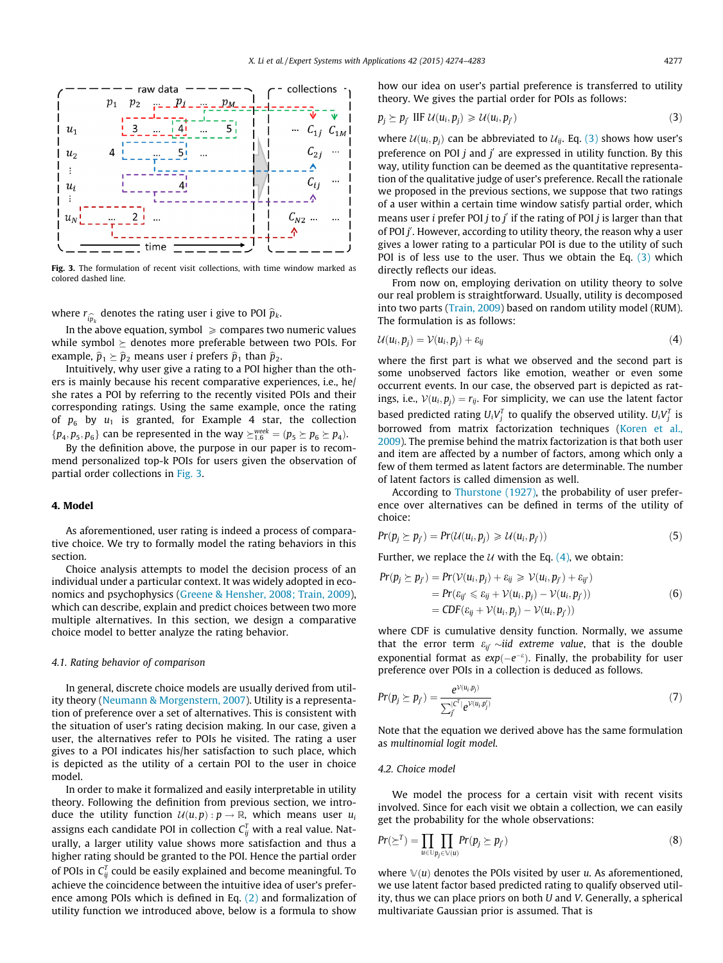<span id="page-3-0"></span>

Fig. 3. The formulation of recent visit collections, with time window marked as colored dashed line.

where  $r_{\widehat{ip}_k}$  denotes the rating user i give to POI  $\widehat{p}_k$ .

In the above equation, symbol  $\geq$  compares two numeric values while symbol  $\succeq$  denotes more preferable between two POIs. For example,  $\hat{p}_1 \succeq \hat{p}_2$  means user *i* prefers  $\hat{p}_1$  than  $\hat{p}_2$ .

Intuitively, why user give a rating to a POI higher than the others is mainly because his recent comparative experiences, i.e., he/ she rates a POI by referring to the recently visited POIs and their corresponding ratings. Using the same example, once the rating of  $p_6$  by  $u_1$  is granted, for Example 4 star, the collection  $\{p_4, p_5, p_6\}$  can be represented in the way  $\succeq_{1,6}^{week} = (p_5 \succeq p_6 \succeq p_4)$ .

By the definition above, the purpose in our paper is to recommend personalized top-k POIs for users given the observation of partial order collections in Fig. 3.

#### 4. Model

As aforementioned, user rating is indeed a process of comparative choice. We try to formally model the rating behaviors in this section.

Choice analysis attempts to model the decision process of an individual under a particular context. It was widely adopted in economics and psychophysics ([Greene & Hensher, 2008; Train, 2009\)](#page-8-0), which can describe, explain and predict choices between two more multiple alternatives. In this section, we design a comparative choice model to better analyze the rating behavior.

#### 4.1. Rating behavior of comparison

In general, discrete choice models are usually derived from utility theory [\(Neumann & Morgenstern, 2007\)](#page-8-0). Utility is a representation of preference over a set of alternatives. This is consistent with the situation of user's rating decision making. In our case, given a user, the alternatives refer to POIs he visited. The rating a user gives to a POI indicates his/her satisfaction to such place, which is depicted as the utility of a certain POI to the user in choice model.

In order to make it formalized and easily interpretable in utility theory. Following the definition from previous section, we introduce the utility function  $U(u, p) : p \to \mathbb{R}$ , which means user  $u_i$ assigns each candidate POI in collection  $\mathsf{C}_{ij}^{\mathsf{T}}$  with a real value. Naturally, a larger utility value shows more satisfaction and thus a higher rating should be granted to the POI. Hence the partial order of POIs in  $\mathsf{C}^{\mathsf{T}}_{ij}$  could be easily explained and become meaningful. To achieve the coincidence between the intuitive idea of user's preference among POIs which is defined in Eq. [\(2\)](#page-2-0) and formalization of utility function we introduced above, below is a formula to show how our idea on user's partial preference is transferred to utility theory. We gives the partial order for POIs as follows:

$$
p_j \succeq p_{j'} \text{ IIF } \mathcal{U}(u_i, p_j) \geq \mathcal{U}(u_i, p_{j'}) \tag{3}
$$

where  $U(u_i, p_i)$  can be abbreviated to  $U_{ij}$ . Eq. (3) shows how user's preference on POI  $j$  and  $j'$  are expressed in utility function. By this way, utility function can be deemed as the quantitative representation of the qualitative judge of user's preference. Recall the rationale we proposed in the previous sections, we suppose that two ratings of a user within a certain time window satisfy partial order, which means user *i* prefer POI *j* to *j'* if the rating of POI *j* is larger than that of POI j'. However, according to utility theory, the reason why a user gives a lower rating to a particular POI is due to the utility of such POI is of less use to the user. Thus we obtain the Eq. (3) which directly reflects our ideas.

From now on, employing derivation on utility theory to solve our real problem is straightforward. Usually, utility is decomposed into two parts ([Train, 2009](#page-8-0)) based on random utility model (RUM). The formulation is as follows:

$$
\mathcal{U}(u_i, p_j) = \mathcal{V}(u_i, p_j) + \varepsilon_{ij} \tag{4}
$$

where the first part is what we observed and the second part is some unobserved factors like emotion, weather or even some occurrent events. In our case, the observed part is depicted as ratings, i.e.,  $V(u_i, p_i) = r_{ij}$ . For simplicity, we can use the latent factor based predicted rating  $U_iV_j^T$  to qualify the observed utility.  $U_iV_j^T$  is borrowed from matrix factorization techniques ([Koren et al.,](#page-8-0) [2009](#page-8-0)). The premise behind the matrix factorization is that both user and item are affected by a number of factors, among which only a few of them termed as latent factors are determinable. The number of latent factors is called dimension as well.

According to [Thurstone \(1927\),](#page-8-0) the probability of user preference over alternatives can be defined in terms of the utility of choice:

$$
Pr(p_j \ge p_{j'}) = Pr(\mathcal{U}(u_i, p_j) \ge \mathcal{U}(u_i, p_{j'}))
$$
\n
$$
(5)
$$

Further, we replace the  $U$  with the Eq. (4), we obtain:

$$
Pr(p_j \succeq p_{j'}) = Pr(\mathcal{V}(u_i, p_j) + \varepsilon_{ij} \geq \mathcal{V}(u_i, p_{j'}) + \varepsilon_{ij'})
$$
  
= 
$$
Pr(\varepsilon_{ij'} \leq \varepsilon_{ij} + \mathcal{V}(u_i, p_j) - \mathcal{V}(u_i, p_{j'}))
$$
  
= 
$$
CDF(\varepsilon_{ij} + \mathcal{V}(u_i, p_j) - \mathcal{V}(u_i, p_{j'}))
$$
 (6)

where CDF is cumulative density function. Normally, we assume that the error term  $\varepsilon_{ii'} \sim$ iid extreme value, that is the double exponential format as  $exp(-e^{-\epsilon})$ . Finally, the probability for user preference over POIs in a collection is deduced as follows.

$$
Pr(p_j \succeq p_{j'}) = \frac{e^{\mathcal{V}(u_i, p_j)}}{\sum_{j'}^{[c^T]} e^{\mathcal{V}(u_i, p_{j'})}}
$$
(7)

Note that the equation we derived above has the same formulation as multinomial logit model.

## 4.2. Choice model

We model the process for a certain visit with recent visits involved. Since for each visit we obtain a collection, we can easily get the probability for the whole observations:

$$
Pr(\geq^T) = \prod_{u \in \bigcup p_j \in \mathbb{V}(u)} Pr(p_j \geq p_{j'})
$$
\n(8)

where  $\mathbb{V}(u)$  denotes the POIs visited by user u. As aforementioned, we use latent factor based predicted rating to qualify observed utility, thus we can place priors on both U and V. Generally, a spherical multivariate Gaussian prior is assumed. That is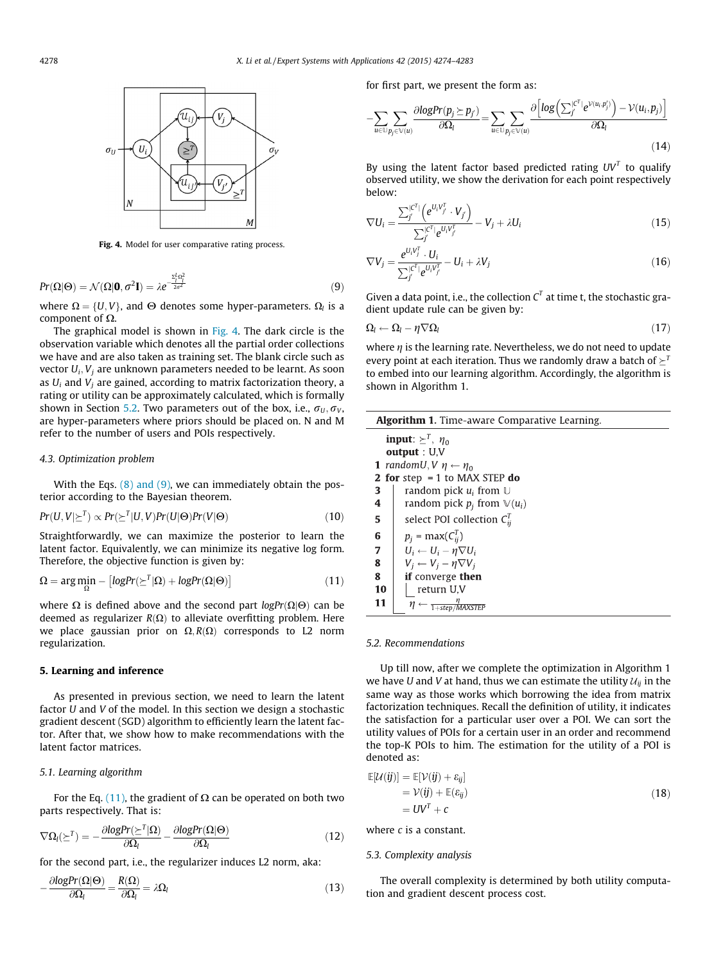<span id="page-4-0"></span>

Fig. 4. Model for user comparative rating process.

$$
Pr(\Omega|\Theta) = \mathcal{N}(\Omega|\mathbf{0}, \sigma^2 \mathbf{I}) = \lambda e^{-\frac{\Sigma_1^L \Omega_1^2}{2\sigma^2}}
$$
(9)

where  $\Omega = \{U, V\}$ , and  $\Theta$  denotes some hyper-parameters.  $\Omega_l$  is a component of  $\Omega$ .

The graphical model is shown in Fig. 4. The dark circle is the observation variable which denotes all the partial order collections we have and are also taken as training set. The blank circle such as vector  $U_i$ ,  $V_i$  are unknown parameters needed to be learnt. As soon as  $U_i$  and  $V_j$  are gained, according to matrix factorization theory, a rating or utility can be approximately calculated, which is formally shown in Section 5.2. Two parameters out of the box, i.e.,  $\sigma_U, \sigma_V$ , are hyper-parameters where priors should be placed on. N and M refer to the number of users and POIs respectively.

#### 4.3. Optimization problem

With the Eqs.  $(8)$  and  $(9)$ , we can immediately obtain the posterior according to the Bayesian theorem.

$$
Pr(U, V | \geq^T) \propto Pr(\geq^T | U, V) Pr(U | \Theta) Pr(V | \Theta)
$$
\n(10)

Straightforwardly, we can maximize the posterior to learn the latent factor. Equivalently, we can minimize its negative log form. Therefore, the objective function is given by:

$$
\Omega = \arg \min_{\Omega} - \left[ logPr(\Sigma^{T} | \Omega) + logPr(\Omega | \Theta) \right] \tag{11}
$$

where  $\Omega$  is defined above and the second part logPr( $\Omega|\Theta$ ) can be deemed as regularizer  $R(\Omega)$  to alleviate overfitting problem. Here we place gaussian prior on  $\Omega$ ,  $R(\Omega)$  corresponds to L2 norm regularization.

#### 5. Learning and inference

As presented in previous section, we need to learn the latent factor U and V of the model. In this section we design a stochastic gradient descent (SGD) algorithm to efficiently learn the latent factor. After that, we show how to make recommendations with the latent factor matrices.

#### 5.1. Learning algorithm

For the Eq. (11), the gradient of  $\Omega$  can be operated on both two parts respectively. That is:

$$
\nabla \Omega_{l}(\geq^{T}) = -\frac{\partial logPr(\geq^{T}|\Omega)}{\partial \Omega_{l}} - \frac{\partial logPr(\Omega|\Theta)}{\partial \Omega_{l}} \tag{12}
$$

for the second part, i.e., the regularizer induces L2 norm, aka:

$$
-\frac{\partial logPr(\Omega|\Theta)}{\partial \Omega_{l}} = \frac{R(\Omega)}{\partial \Omega_{l}} = \lambda \Omega_{l}
$$
\n(13)

for first part, we present the form as:

$$
-\sum_{u\in\mathbb{U}}\sum_{p_j\in\mathbb{V}(u)}\frac{\partial logPr(p_j \succeq p_{j'})}{\partial\Omega_l} = \sum_{u\in\mathbb{U}}\sum_{p_j\in\mathbb{V}(u)}\frac{\partial \left[log\left(\sum_{j}^{|C^T|}e^{\mathcal{V}(u_i,p_j')}\right) - \mathcal{V}(u_i,p_j)\right]}{\partial\Omega_l}
$$
\n(14)

By using the latent factor based predicted rating  $UV<sup>T</sup>$  to qualify observed utility, we show the derivation for each point respectively below:

$$
\nabla U_i = \frac{\sum_j^{|\mathcal{C}^T|} \left(e^{U_i V_j^T} \cdot V_j\right)}{\sum_{j'}^{|\mathcal{C}^T|} e^{U_i V_j^T}} - V_j + \lambda U_i
$$
\n(15)

$$
\nabla V_j = \frac{e^{U_i V_j^T} \cdot U_i}{\sum_{j'}^{|C^T|} e^{U_i V_j^T}} - U_i + \lambda V_j
$$
\n(16)

Given a data point, i.e., the collection  $C<sup>T</sup>$  at time t, the stochastic gradient update rule can be given by:

$$
\Omega_l \leftarrow \Omega_l - \eta \nabla \Omega_l \tag{17}
$$

where  $\eta$  is the learning rate. Nevertheless, we do not need to update every point at each iteration. Thus we randomly draw a batch of  $\succeq^T$ to embed into our learning algorithm. Accordingly, the algorithm is shown in Algorithm 1.

| <b>Algorithm 1.</b> Time-aware Comparative Learning. |                                          |  |  |  |
|------------------------------------------------------|------------------------------------------|--|--|--|
| <b>input:</b> $\succeq^T$ , $\eta_0$                 |                                          |  |  |  |
| output : $U, V$                                      |                                          |  |  |  |
| 1 randomU, V $\eta \leftarrow \eta_0$                |                                          |  |  |  |
| <b>2 for</b> step = 1 to MAX STEP $do$               |                                          |  |  |  |
| 3                                                    | random pick $u_i$ from $\cup$            |  |  |  |
| 4                                                    | random pick $p_i$ from $\mathbb{V}(u_i)$ |  |  |  |
| 5                                                    | select POI collection $C_{ii}^T$         |  |  |  |
| 6                                                    | $p_i = \max(C_{ii}^T)$                   |  |  |  |
| 7                                                    | $U_i \leftarrow U_i - \eta \nabla U_i$   |  |  |  |
| 8                                                    | $V_i \leftarrow V_i - \eta \nabla V_i$   |  |  |  |
| 8                                                    | if converge then                         |  |  |  |
| 10                                                   | return U.V                               |  |  |  |
| 11                                                   | $ \frac{\eta}{1+step/MAXSTEP}$           |  |  |  |

### 5.2. Recommendations

Up till now, after we complete the optimization in Algorithm 1 we have U and V at hand, thus we can estimate the utility  $\mathcal{U}_{ii}$  in the same way as those works which borrowing the idea from matrix factorization techniques. Recall the definition of utility, it indicates the satisfaction for a particular user over a POI. We can sort the utility values of POIs for a certain user in an order and recommend the top-K POIs to him. The estimation for the utility of a POI is denoted as:

$$
\mathbb{E}[\mathcal{U}(ij)] = \mathbb{E}[\mathcal{V}(ij) + \varepsilon_{ij}] \n= \mathcal{V}(ij) + \mathbb{E}(\varepsilon_{ij}) \n= UVT + c
$$
\n(18)

where c is a constant.

#### 5.3. Complexity analysis

The overall complexity is determined by both utility computation and gradient descent process cost.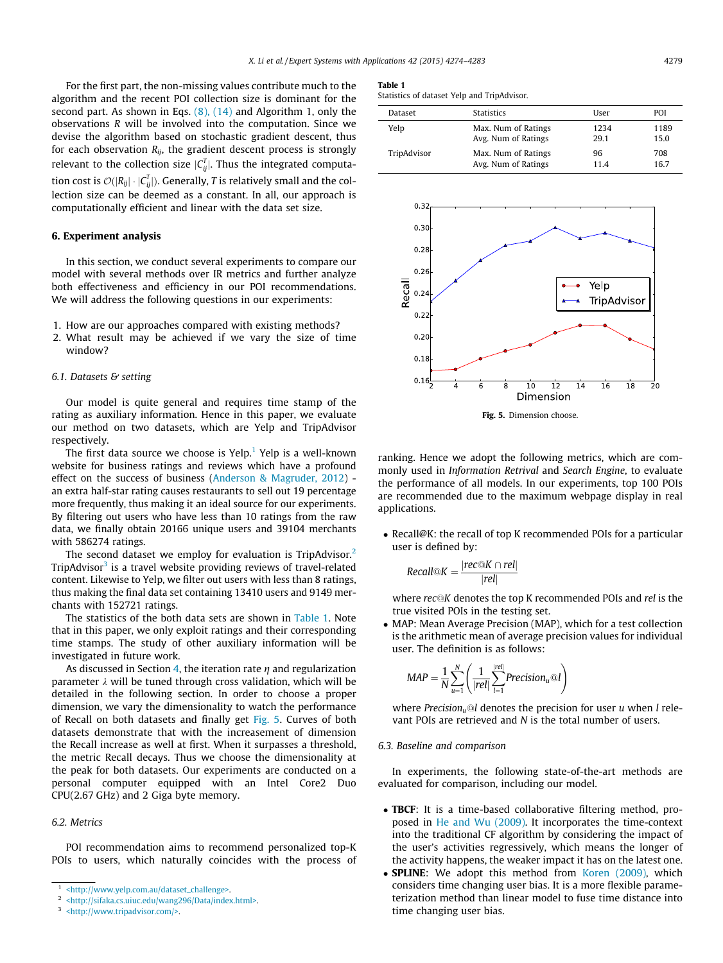<span id="page-5-0"></span>For the first part, the non-missing values contribute much to the algorithm and the recent POI collection size is dominant for the second part. As shown in Eqs. [\(8\), \(14\)](#page-3-0) and Algorithm 1, only the observations R will be involved into the computation. Since we devise the algorithm based on stochastic gradient descent, thus for each observation  $R_{ij}$ , the gradient descent process is strongly relevant to the collection size  $|C_{ij}^T|$ . Thus the integrated computation cost is  $\mathcal{O}(|R_{ij}| \cdot |\mathcal{C}^T_{ij}|).$  Generally,  $T$  is relatively small and the collection size can be deemed as a constant. In all, our approach is computationally efficient and linear with the data set size.

#### 6. Experiment analysis

In this section, we conduct several experiments to compare our model with several methods over IR metrics and further analyze both effectiveness and efficiency in our POI recommendations. We will address the following questions in our experiments:

- 1. How are our approaches compared with existing methods?
- 2. What result may be achieved if we vary the size of time window?

#### 6.1. Datasets & setting

Our model is quite general and requires time stamp of the rating as auxiliary information. Hence in this paper, we evaluate our method on two datasets, which are Yelp and TripAdvisor respectively.

The first data source we choose is  $Ye1p<sup>1</sup>$  Yelp is a well-known website for business ratings and reviews which have a profound effect on the success of business ([Anderson & Magruder, 2012\)](#page-8-0) an extra half-star rating causes restaurants to sell out 19 percentage more frequently, thus making it an ideal source for our experiments. By filtering out users who have less than 10 ratings from the raw data, we finally obtain 20166 unique users and 39104 merchants with 586274 ratings.

The second dataset we employ for evaluation is TripAdvisor.<sup>2</sup> TripAdvisor $<sup>3</sup>$  is a travel website providing reviews of travel-related</sup> content. Likewise to Yelp, we filter out users with less than 8 ratings, thus making the final data set containing 13410 users and 9149 merchants with 152721 ratings.

The statistics of the both data sets are shown in Table 1. Note that in this paper, we only exploit ratings and their corresponding time stamps. The study of other auxiliary information will be investigated in future work.

As discussed in Section [4,](#page-3-0) the iteration rate  $\eta$  and regularization parameter  $\lambda$  will be tuned through cross validation, which will be detailed in the following section. In order to choose a proper dimension, we vary the dimensionality to watch the performance of Recall on both datasets and finally get Fig. 5. Curves of both datasets demonstrate that with the increasement of dimension the Recall increase as well at first. When it surpasses a threshold, the metric Recall decays. Thus we choose the dimensionality at the peak for both datasets. Our experiments are conducted on a personal computer equipped with an Intel Core2 Duo CPU(2.67 GHz) and 2 Giga byte memory.

## 6.2. Metrics

POI recommendation aims to recommend personalized top-K POIs to users, which naturally coincides with the process of

#### Table 1

Statistics of dataset Yelp and TripAdvisor.

| Dataset     | <b>Statistics</b>   | User | POI  |
|-------------|---------------------|------|------|
| Yelp        | Max. Num of Ratings | 1234 | 1189 |
|             | Avg. Num of Ratings | 29.1 | 15.0 |
| TripAdvisor | Max. Num of Ratings | 96   | 708  |
|             | Avg. Num of Ratings | 114  | 16.7 |



Fig. 5. Dimension choose.

ranking. Hence we adopt the following metrics, which are commonly used in Information Retrival and Search Engine, to evaluate the performance of all models. In our experiments, top 100 POIs are recommended due to the maximum webpage display in real applications.

• Recall@K: the recall of top K recommended POIs for a particular user is defined by:

$$
Recall@K = \frac{|rec@K \cap rel|}{|rel|}
$$

where  $rec@K$  denotes the top K recommended POIs and rel is the true visited POIs in the testing set.

- MAP: Mean Average Precision (MAP), which for a test collection is the arithmetic mean of average precision values for individual user. The definition is as follows:

$$
MAP = \frac{1}{N} \sum_{u=1}^{N} \left( \frac{1}{|rel|} \sum_{l=1}^{|rel|} Precision_u @l \right)
$$

where Precision<sub>u</sub>@l denotes the precision for user u when l relevant POIs are retrieved and N is the total number of users.

#### 6.3. Baseline and comparison

In experiments, the following state-of-the-art methods are evaluated for comparison, including our model.

- **TBCF**: It is a time-based collaborative filtering method, proposed in [He and Wu \(2009\).](#page-8-0) It incorporates the time-context into the traditional CF algorithm by considering the impact of the user's activities regressively, which means the longer of the activity happens, the weaker impact it has on the latest one.
- **SPLINE**: We adopt this method from [Koren \(2009\)](#page-8-0), which considers time changing user bias. It is a more flexible parameterization method than linear model to fuse time distance into time changing user bias.

<sup>1</sup> [<http://www.yelp.com.au/dataset\\_challenge>.](http://www.yelp.com.au/dataset_challenge)

<sup>2</sup> [<http://sifaka.cs.uiuc.edu/wang296/Data/index.html>.](http://sifaka.cs.uiuc.edu/wang296/Data/index.html)

<sup>3</sup> [<http://www.tripadvisor.com/>](http://www.tripadvisor.com/).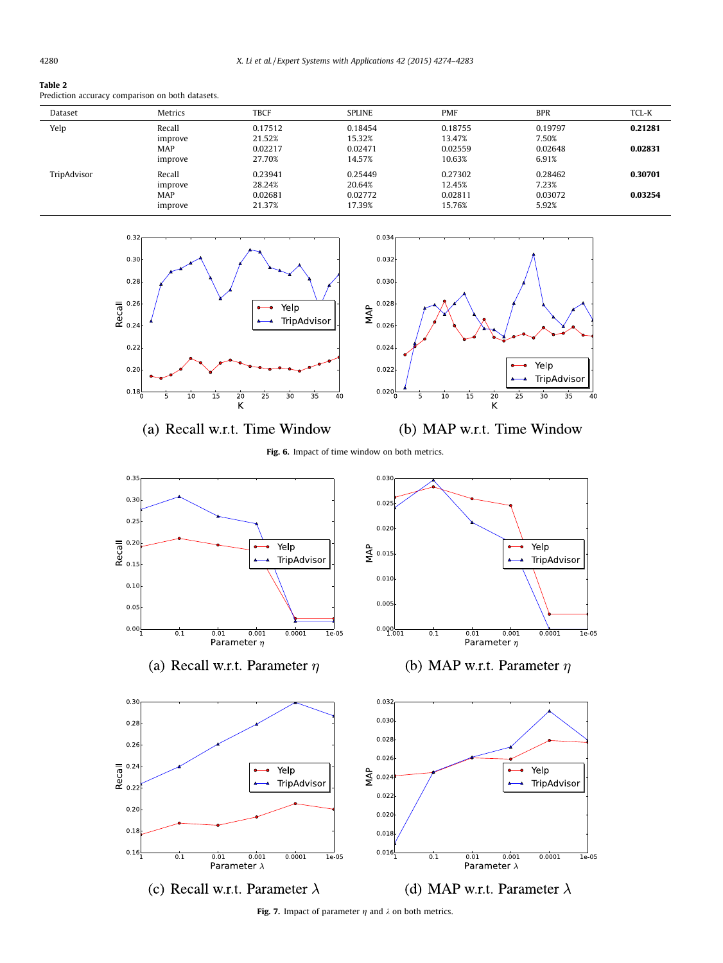#### <span id="page-6-0"></span>Table 2

Prediction accuracy comparison on both datasets.

| Dataset     | Metrics               | <b>TBCF</b>       | <b>SPLINE</b>     | <b>PMF</b>        | <b>BPR</b>       | TCL-K   |
|-------------|-----------------------|-------------------|-------------------|-------------------|------------------|---------|
| Yelp        | Recall<br>improve     | 0.17512<br>21.52% | 0.18454<br>15.32% | 0.18755<br>13.47% | 0.19797<br>7.50% | 0.21281 |
|             | <b>MAP</b><br>improve | 0.02217<br>27.70% | 0.02471<br>14.57% | 0.02559<br>10.63% | 0.02648<br>6.91% | 0.02831 |
| TripAdvisor | Recall<br>improve     | 0.23941<br>28.24% | 0.25449<br>20.64% | 0.27302<br>12.45% | 0.28462<br>7.23% | 0.30701 |
|             | <b>MAP</b><br>improve | 0.02681<br>21.37% | 0.02772<br>17.39% | 0.02811<br>15.76% | 0.03072<br>5.92% | 0.03254 |



(a) Recall w.r.t. Time Window



(b) MAP w.r.t. Time Window

# Fig. 6. Impact of time window on both metrics.



(a) Recall w.r.t. Parameter  $\eta$ 



(b) MAP w.r.t. Parameter  $\eta$ 



Fig. 7. Impact of parameter  $\eta$  and  $\lambda$  on both metrics.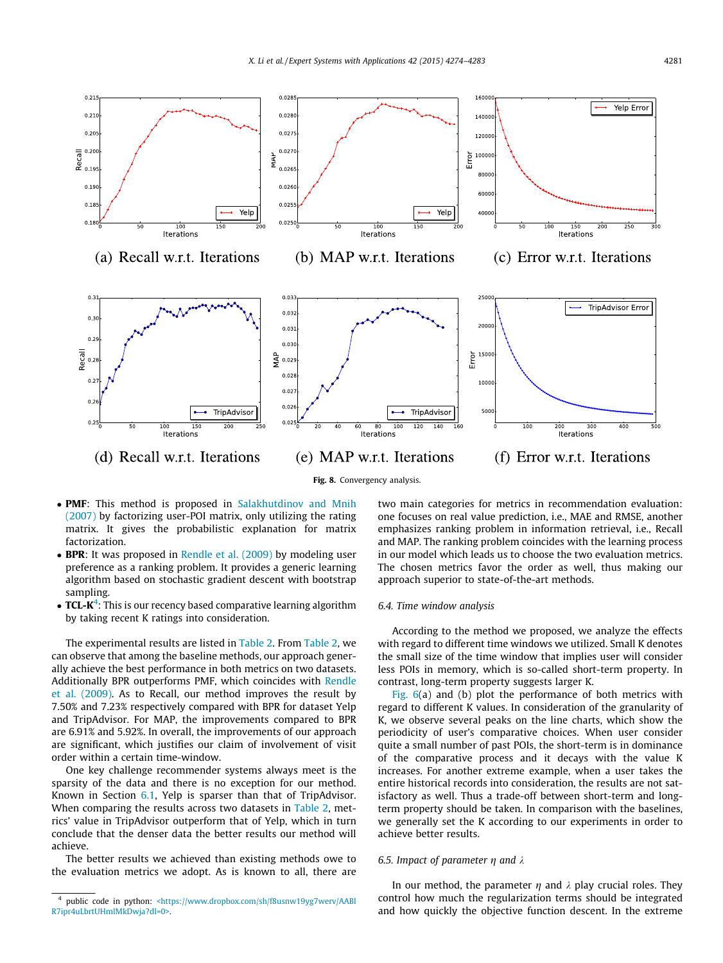<span id="page-7-0"></span>

- **PMF**: This method is proposed in [Salakhutdinov and Mnih](#page-8-0) [\(2007\)](#page-8-0) by factorizing user-POI matrix, only utilizing the rating matrix. It gives the probabilistic explanation for matrix factorization.
- BPR: It was proposed in [Rendle et al. \(2009\)](#page-8-0) by modeling user preference as a ranking problem. It provides a generic learning algorithm based on stochastic gradient descent with bootstrap sampling.
- $\bullet$  TCL-K<sup>4</sup>: This is our recency based comparative learning algorithm by taking recent K ratings into consideration.

The experimental results are listed in [Table 2.](#page-6-0) From [Table 2](#page-6-0), we can observe that among the baseline methods, our approach generally achieve the best performance in both metrics on two datasets. Additionally BPR outperforms PMF, which coincides with [Rendle](#page-8-0) [et al. \(2009\).](#page-8-0) As to Recall, our method improves the result by 7.50% and 7.23% respectively compared with BPR for dataset Yelp and TripAdvisor. For MAP, the improvements compared to BPR are 6.91% and 5.92%. In overall, the improvements of our approach are significant, which justifies our claim of involvement of visit order within a certain time-window.

One key challenge recommender systems always meet is the sparsity of the data and there is no exception for our method. Known in Section [6.1,](#page-5-0) Yelp is sparser than that of TripAdvisor. When comparing the results across two datasets in [Table 2,](#page-6-0) metrics' value in TripAdvisor outperform that of Yelp, which in turn conclude that the denser data the better results our method will achieve.

The better results we achieved than existing methods owe to the evaluation metrics we adopt. As is known to all, there are two main categories for metrics in recommendation evaluation: one focuses on real value prediction, i.e., MAE and RMSE, another emphasizes ranking problem in information retrieval, i.e., Recall and MAP. The ranking problem coincides with the learning process in our model which leads us to choose the two evaluation metrics. The chosen metrics favor the order as well, thus making our approach superior to state-of-the-art methods.

#### 6.4. Time window analysis

According to the method we proposed, we analyze the effects with regard to different time windows we utilized. Small K denotes the small size of the time window that implies user will consider less POIs in memory, which is so-called short-term property. In contrast, long-term property suggests larger K.

[Fig. 6](#page-6-0)(a) and (b) plot the performance of both metrics with regard to different K values. In consideration of the granularity of K, we observe several peaks on the line charts, which show the periodicity of user's comparative choices. When user consider quite a small number of past POIs, the short-term is in dominance of the comparative process and it decays with the value K increases. For another extreme example, when a user takes the entire historical records into consideration, the results are not satisfactory as well. Thus a trade-off between short-term and longterm property should be taken. In comparison with the baselines, we generally set the K according to our experiments in order to achieve better results.

### 6.5. Impact of parameter  $\eta$  and  $\lambda$

In our method, the parameter  $\eta$  and  $\lambda$  play crucial roles. They control how much the regularization terms should be integrated and how quickly the objective function descent. In the extreme

public code in python: [<https://www.dropbox.com/sh/f8usnw19yg7werv/AABl](https://www.dropbox.com/sh/f8usnw19yg7werv/AABlR7ipr4uLbrtUHmlMkDwja?dl=0) [R7ipr4uLbrtUHmlMkDwja?dl=0>.](https://www.dropbox.com/sh/f8usnw19yg7werv/AABlR7ipr4uLbrtUHmlMkDwja?dl=0)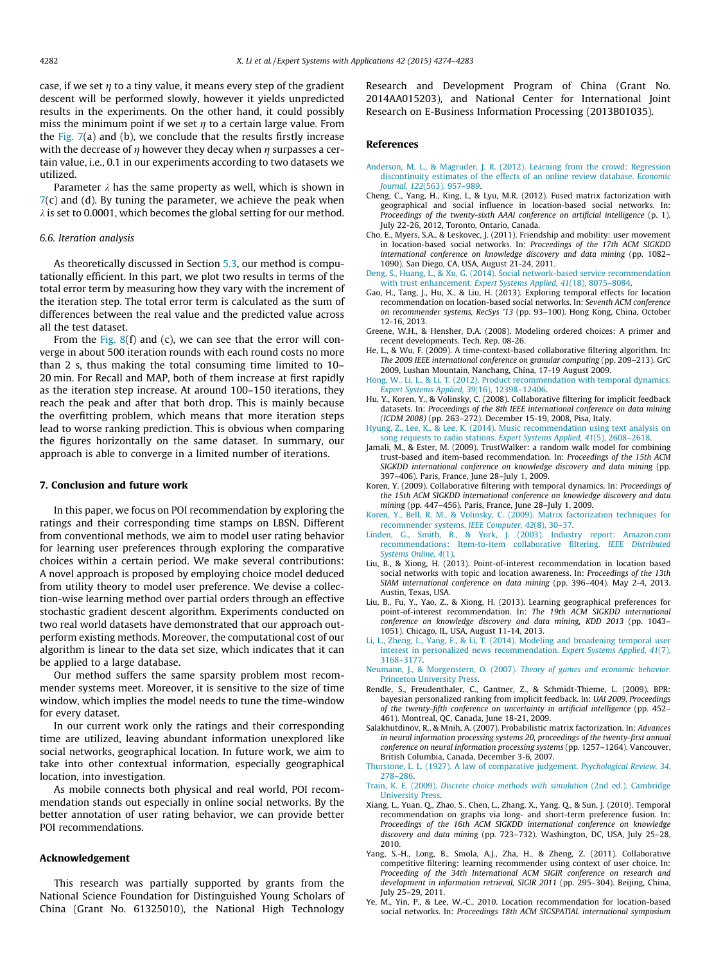<span id="page-8-0"></span>case, if we set  $n$  to a tiny value, it means every step of the gradient descent will be performed slowly, however it yields unpredicted results in the experiments. On the other hand, it could possibly miss the minimum point if we set  $\eta$  to a certain large value. From the Fig.  $7(a)$  and (b), we conclude that the results firstly increase with the decrease of  $\eta$  however they decay when  $\eta$  surpasses a certain value, i.e., 0.1 in our experiments according to two datasets we utilized.

Parameter  $\lambda$  has the same property as well, which is shown in  $7(c)$  $7(c)$  and (d). By tuning the parameter, we achieve the peak when  $\lambda$  is set to 0.0001, which becomes the global setting for our method.

#### 6.6. Iteration analysis

As theoretically discussed in Section [5.3](#page-4-0), our method is computationally efficient. In this part, we plot two results in terms of the total error term by measuring how they vary with the increment of the iteration step. The total error term is calculated as the sum of differences between the real value and the predicted value across all the test dataset.

From the [Fig. 8\(](#page-7-0)f) and (c), we can see that the error will converge in about 500 iteration rounds with each round costs no more than 2 s, thus making the total consuming time limited to 10– 20 min. For Recall and MAP, both of them increase at first rapidly as the iteration step increase. At around 100–150 iterations, they reach the peak and after that both drop. This is mainly because the overfitting problem, which means that more iteration steps lead to worse ranking prediction. This is obvious when comparing the figures horizontally on the same dataset. In summary, our approach is able to converge in a limited number of iterations.

# 7. Conclusion and future work

In this paper, we focus on POI recommendation by exploring the ratings and their corresponding time stamps on LBSN. Different from conventional methods, we aim to model user rating behavior for learning user preferences through exploring the comparative choices within a certain period. We make several contributions: A novel approach is proposed by employing choice model deduced from utility theory to model user preference. We devise a collection-wise learning method over partial orders through an effective stochastic gradient descent algorithm. Experiments conducted on two real world datasets have demonstrated that our approach outperform existing methods. Moreover, the computational cost of our algorithm is linear to the data set size, which indicates that it can be applied to a large database.

Our method suffers the same sparsity problem most recommender systems meet. Moreover, it is sensitive to the size of time window, which implies the model needs to tune the time-window for every dataset.

In our current work only the ratings and their corresponding time are utilized, leaving abundant information unexplored like social networks, geographical location. In future work, we aim to take into other contextual information, especially geographical location, into investigation.

As mobile connects both physical and real world, POI recommendation stands out especially in online social networks. By the better annotation of user rating behavior, we can provide better POI recommendations.

#### Acknowledgement

This research was partially supported by grants from the National Science Foundation for Distinguished Young Scholars of China (Grant No. 61325010), the National High Technology Research and Development Program of China (Grant No. 2014AA015203), and National Center for International Joint Research on E-Business Information Processing (2013B01035).

### References

- [Anderson, M. L., & Magruder, J. R. \(2012\). Learning from the crowd: Regression](http://refhub.elsevier.com/S0957-4174(15)00069-X/h0005) [discontinuity estimates of the effects of an online review database.](http://refhub.elsevier.com/S0957-4174(15)00069-X/h0005) Economic Journal, 122[\(563\), 957–989.](http://refhub.elsevier.com/S0957-4174(15)00069-X/h0005)
- Cheng, C., Yang, H., King, I., & Lyu, M.R. (2012). Fused matrix factorization with geographical and social influence in location-based social networks. In: Proceedings of the twenty-sixth AAAI conference on artificial intelligence (p. 1). July 22-26, 2012, Toronto, Ontario, Canada.
- Cho, E., Myers, S.A., & Leskovec, J. (2011). Friendship and mobility: user movement in location-based social networks. In: Proceedings of the 17th ACM SIGKDD international conference on knowledge discovery and data mining (pp. 1082– 1090). San Diego, CA, USA, August 21-24, 2011.
- [Deng, S., Huang, L., & Xu, G. \(2014\). Social network-based service recommendation](http://refhub.elsevier.com/S0957-4174(15)00069-X/h0020) with trust enhancement. [Expert Systems Applied, 41](http://refhub.elsevier.com/S0957-4174(15)00069-X/h0020)(18), 8075–8084.
- Gao, H., Tang, J., Hu, X., & Liu, H. (2013). Exploring temporal effects for location recommendation on location-based social networks. In: Seventh ACM conference on recommender systems, RecSys '13 (pp. 93–100). Hong Kong, China, October 12-16, 2013.
- Greene, W.H., & Hensher, D.A. (2008). Modeling ordered choices: A primer and recent developments. Tech. Rep. 08-26.
- He, L., & Wu, F. (2009). A time-context-based collaborative filtering algorithm. In: The 2009 IEEE international conference on granular computing (pp. 209–213). GrC 2009, Lushan Mountain, Nanchang, China, 17-19 August 2009.
- [Hong, W., Li, L., & Li, T. \(2012\). Product recommendation with temporal dynamics.](http://refhub.elsevier.com/S0957-4174(15)00069-X/h0040) [Expert Systems Applied, 39](http://refhub.elsevier.com/S0957-4174(15)00069-X/h0040)(16), 12398–12406.
- Hu, Y., Koren, Y., & Volinsky, C. (2008). Collaborative filtering for implicit feedback datasets. In: Proceedings of the 8th IEEE international conference on data mining (ICDM 2008) (pp. 263–272). December 15-19, 2008, Pisa, Italy.
- [Hyung, Z., Lee, K., & Lee, K. \(2014\). Music recommendation using text analysis on](http://refhub.elsevier.com/S0957-4174(15)00069-X/h0050) [song requests to radio stations.](http://refhub.elsevier.com/S0957-4174(15)00069-X/h0050) Expert Systems Applied, 41(5), 2608–2618.
- Jamali, M., & Ester, M. (2009). TrustWalker: a random walk model for combining trust-based and item-based recommendation. In: Proceedings of the 15th ACM SIGKDD international conference on knowledge discovery and data mining (pp. 397–406). Paris, France, June 28–July 1, 2009.
- Koren, Y. (2009). Collaborative filtering with temporal dynamics. In: Proceedings of the 15th ACM SIGKDD international conference on knowledge discovery and data mining (pp. 447–456). Paris, France, June 28–July 1, 2009.
- [Koren, Y., Bell, R. M., & Volinsky, C. \(2009\). Matrix factorization techniques for](http://refhub.elsevier.com/S0957-4174(15)00069-X/h0065) [recommender systems.](http://refhub.elsevier.com/S0957-4174(15)00069-X/h0065) IEEE Computer, 42(8), 30–37.
- [Linden, G., Smith, B., & York, J. \(2003\). Industry report: Amazon.com](http://refhub.elsevier.com/S0957-4174(15)00069-X/h0070) [recommendations: Item-to-item collaborative filtering.](http://refhub.elsevier.com/S0957-4174(15)00069-X/h0070) IEEE Distributed [Systems Online, 4](http://refhub.elsevier.com/S0957-4174(15)00069-X/h0070)(1).
- Liu, B., & Xiong, H. (2013). Point-of-interest recommendation in location based social networks with topic and location awareness. In: Proceedings of the 13th SIAM international conference on data mining (pp. 396–404). May 2-4, 2013. Austin, Texas, USA.
- Liu, B., Fu, Y., Yao, Z., & Xiong, H. (2013). Learning geographical preferences for point-of-interest recommendation. In: The 19th ACM SIGKDD international conference on knowledge discovery and data mining, KDD 2013 (pp. 1043– 1051). Chicago, IL, USA, August 11-14, 2013.
- [Li, L., Zheng, L., Yang, F., & Li, T. \(2014\). Modeling and broadening temporal user](http://refhub.elsevier.com/S0957-4174(15)00069-X/h0085) [interest in personalized news recommendation.](http://refhub.elsevier.com/S0957-4174(15)00069-X/h0085) Expert Systems Applied, 41(7), [3168–3177](http://refhub.elsevier.com/S0957-4174(15)00069-X/h0085).
- [Neumann, J., & Morgenstern, O. \(2007\).](http://refhub.elsevier.com/S0957-4174(15)00069-X/h0090) Theory of games and economic behavior. [Princeton University Press.](http://refhub.elsevier.com/S0957-4174(15)00069-X/h0090)
- Rendle, S., Freudenthaler, C., Gantner, Z., & Schmidt-Thieme, L. (2009). BPR: bayesian personalized ranking from implicit feedback. In: UAI 2009, Proceedings of the twenty-fifth conference on uncertainty in artificial intelligence (pp. 452– 461). Montreal, QC, Canada, June 18-21, 2009.
- Salakhutdinov, R., & Mnih, A. (2007). Probabilistic matrix factorization. In: Advances in neural information processing systems 20, proceedings of the twenty-first annual conference on neural information processing systems (pp. 1257–1264). Vancouver, British Columbia, Canada, December 3-6, 2007.
- [Thurstone, L. L. \(1927\). A law of comparative judgement.](http://refhub.elsevier.com/S0957-4174(15)00069-X/h0105) Psychological Review, 34, [278–286](http://refhub.elsevier.com/S0957-4174(15)00069-X/h0105).
- Train, K. E. (2009). [Discrete choice methods with simulation](http://refhub.elsevier.com/S0957-4174(15)00069-X/h0110) (2nd ed.). Cambridge [University Press.](http://refhub.elsevier.com/S0957-4174(15)00069-X/h0110)
- Xiang, L., Yuan, Q., Zhao, S., Chen, L., Zhang, X., Yang, Q., & Sun, J. (2010). Temporal recommendation on graphs via long- and short-term preference fusion. In: Proceedings of the 16th ACM SIGKDD international conference on knowledge discovery and data mining (pp. 723–732). Washington, DC, USA, July 25–28, 2010.
- Yang, S.-H., Long, B., Smola, A.J., Zha, H., & Zheng, Z. (2011). Collaborative competitive filtering: learning recommender using context of user choice. In: Proceeding of the 34th International ACM SIGIR conference on research and development in information retrieval, SIGIR 2011 (pp. 295–304). Beijing, China, July 25–29, 2011.
- Ye, M., Yin, P., & Lee, W.-C., 2010. Location recommendation for location-based social networks. In: Proceedings 18th ACM SIGSPATIAL international symposium